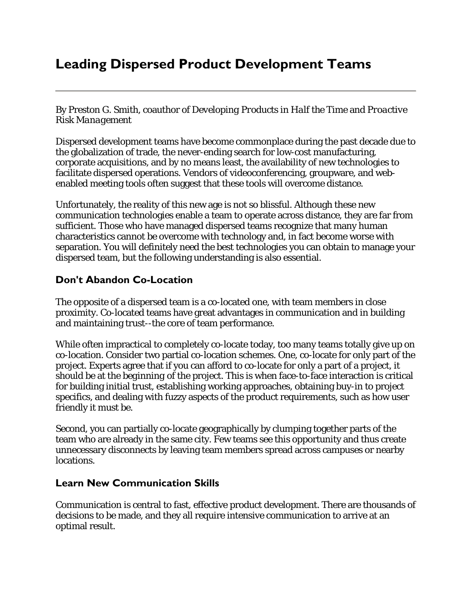# **Leading Dispersed Product Development Teams**

By Preston G. Smith, coauthor of *Developing Products in Half the Time* and *Proactive Risk Management*

Dispersed development teams have become commonplace during the past decade due to the globalization of trade, the never-ending search for low-cost manufacturing, corporate acquisitions, and by no means least, the availability of new technologies to facilitate dispersed operations. Vendors of videoconferencing, groupware, and webenabled meeting tools often suggest that these tools will overcome distance.

Unfortunately, the reality of this new age is not so blissful. Although these new communication technologies enable a team to operate across distance, they are far from sufficient. Those who have managed dispersed teams recognize that many human characteristics cannot be overcome with technology and, in fact become worse with separation. You will definitely need the best technologies you can obtain to manage your dispersed team, but the following understanding is also essential.

#### **Don't Abandon Co-Location**

The opposite of a dispersed team is a co-located one, with team members in close proximity. Co-located teams have great advantages in communication and in building and maintaining trust--the core of team performance.

While often impractical to completely co-locate today, too many teams totally give up on co-location. Consider two partial co-location schemes. One, co-locate for only part of the project. Experts agree that if you can afford to co-locate for only a part of a project, it should be at the *beginning* of the project. This is when face-to-face interaction is critical for building initial trust, establishing working approaches, obtaining buy-in to project specifics, and dealing with fuzzy aspects of the product requirements, such as how user friendly it must be.

Second, you can partially co-locate geographically by clumping together parts of the team who are already in the same city. Few teams see this opportunity and thus create unnecessary disconnects by leaving team members spread across campuses or nearby locations.

#### **Learn New Communication Skills**

Communication is central to fast, effective product development. There are thousands of decisions to be made, and they all require intensive communication to arrive at an optimal result.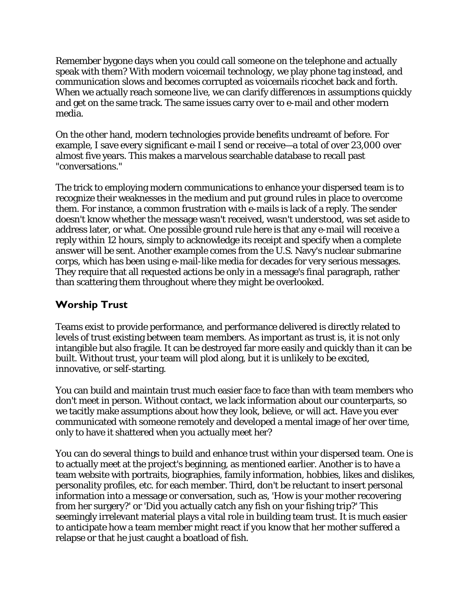Remember bygone days when you could call someone on the telephone and actually speak with them? With modern voicemail technology, we play phone tag instead, and communication slows and becomes corrupted as voicemails ricochet back and forth. When we actually reach someone live, we can clarify differences in assumptions quickly and get on the same track. The same issues carry over to e-mail and other modern media.

On the other hand, modern technologies provide benefits undreamt of before. For example, I save every significant e-mail I send or receive—a total of over 23,000 over almost five years. This makes a marvelous searchable database to recall past "conversations."

The trick to employing modern communications to enhance your dispersed team is to recognize their weaknesses in the medium and put ground rules in place to overcome them. For instance, a common frustration with e-mails is lack of a reply. The sender doesn't know whether the message wasn't received, wasn't understood, was set aside to address later, or what. One possible ground rule here is that any e-mail will receive a reply within 12 hours, simply to acknowledge its receipt and specify when a complete answer will be sent. Another example comes from the U.S. Navy's nuclear submarine corps, which has been using e-mail-like media for decades for very serious messages. They require that all requested actions be only in a message's final paragraph, rather than scattering them throughout where they might be overlooked.

## **Worship Trust**

Teams exist to provide performance, and performance delivered is directly related to levels of trust existing between team members. As important as trust is, it is not only intangible but also fragile. It can be destroyed far more easily and quickly than it can be built. Without trust, your team will plod along, but it is unlikely to be excited, innovative, or self-starting.

You can build and maintain trust much easier face to face than with team members who don't meet in person. Without contact, we lack information about our counterparts, so we tacitly make assumptions about how they look, believe, or will act. Have you ever communicated with someone remotely and developed a mental image of her over time, only to have it shattered when you actually meet her?

You can do several things to build and enhance trust within your dispersed team. One is to actually meet at the project's beginning, as mentioned earlier. Another is to have a team website with portraits, biographies, family information, hobbies, likes and dislikes, personality profiles, etc. for each member. Third, don't be reluctant to insert personal information into a message or conversation, such as, 'How is your mother recovering from her surgery?' or 'Did you actually catch any fish on your fishing trip?' This seemingly irrelevant material plays a vital role in building team trust. It is much easier to anticipate how a team member might react if you know that her mother suffered a relapse or that he just caught a boatload of fish.